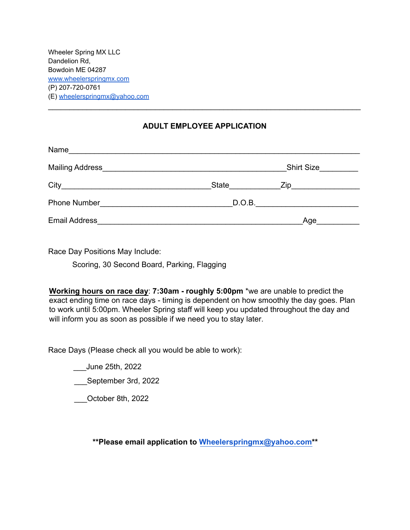Wheeler Spring MX LLC Dandelion Rd, Bowdoin ME 04287 [www.wheelerspringmx.com](http://www.wheelerspringmx.com) (P) 207-720-0761 (E) [wheelerspringmx@yahoo.com](mailto:wheelerspringmx@yahoo.com)

## **ADULT EMPLOYEE APPLICATION**

\_\_\_\_\_\_\_\_\_\_\_\_\_\_\_\_\_\_\_\_\_\_\_\_\_\_\_\_\_\_\_\_\_\_\_\_\_\_\_\_\_\_\_\_\_\_\_\_\_\_\_\_\_\_\_\_\_\_\_\_\_\_\_\_\_\_\_\_\_\_\_\_\_

| Name<br><u> 1980 - Johann Barbara, margaret eta idazlear</u> |       |                   |  |
|--------------------------------------------------------------|-------|-------------------|--|
|                                                              |       | <b>Shirt Size</b> |  |
|                                                              | State |                   |  |
| Phone Number                                                 |       | D.O.B.            |  |
| <b>Email Address</b>                                         |       | Age               |  |

Race Day Positions May Include:

Scoring, 30 Second Board, Parking, Flagging

**Working hours on race day**: **7:30am - roughly 5:00pm** \*we are unable to predict the exact ending time on race days - timing is dependent on how smoothly the day goes. Plan to work until 5:00pm. Wheeler Spring staff will keep you updated throughout the day and will inform you as soon as possible if we need you to stay later.

Race Days (Please check all you would be able to work):

\_\_\_June 25th, 2022

\_\_\_September 3rd, 2022

\_\_\_October 8th, 2022

**\*\*Please email application to [Wheelerspringmx@yahoo.com\\*](mailto:Wheelerspringmx@yahoo.com)\***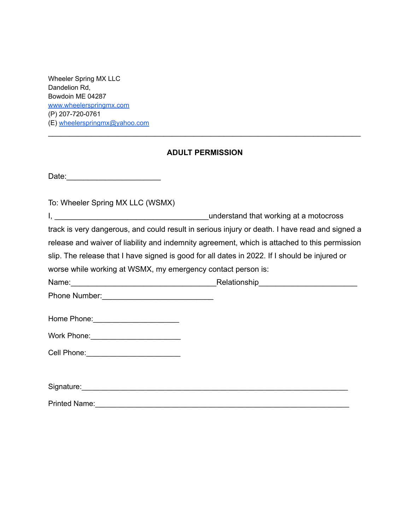Wheeler Spring MX LLC Dandelion Rd, Bowdoin ME 04287 [www.wheelerspringmx.com](http://www.wheelerspringmx.com) (P) 207-720-0761 (E) [wheelerspringmx@yahoo.com](mailto:wheelerspringmx@yahoo.com)

## **ADULT PERMISSION**

\_\_\_\_\_\_\_\_\_\_\_\_\_\_\_\_\_\_\_\_\_\_\_\_\_\_\_\_\_\_\_\_\_\_\_\_\_\_\_\_\_\_\_\_\_\_\_\_\_\_\_\_\_\_\_\_\_\_\_\_\_\_\_\_\_\_\_\_\_\_\_\_\_

| Date: |  |  |  |  |  |  |  |  |  |  |
|-------|--|--|--|--|--|--|--|--|--|--|
|       |  |  |  |  |  |  |  |  |  |  |

To: Wheeler Spring MX LLC (WSMX)

I, \_\_\_\_\_\_\_\_\_\_\_\_\_\_\_\_\_\_\_\_\_\_\_\_\_\_\_\_\_\_\_\_\_\_\_\_understand that working at a motocross track is very dangerous, and could result in serious injury or death. I have read and signed a release and waiver of liability and indemnity agreement, which is attached to this permission slip. The release that I have signed is good for all dates in 2022. If I should be injured or worse while working at WSMX, my emergency contact person is:

| Name: | Relationship |
|-------|--------------|
|       |              |

Phone Number:\_\_\_\_\_\_\_\_\_\_\_\_\_\_\_\_\_\_\_\_\_\_\_\_\_\_

| Home Phone: |
|-------------|
|-------------|

| Signature: |  |
|------------|--|
|            |  |

Printed Name:\_\_\_\_\_\_\_\_\_\_\_\_\_\_\_\_\_\_\_\_\_\_\_\_\_\_\_\_\_\_\_\_\_\_\_\_\_\_\_\_\_\_\_\_\_\_\_\_\_\_\_\_\_\_\_\_\_\_\_\_\_\_